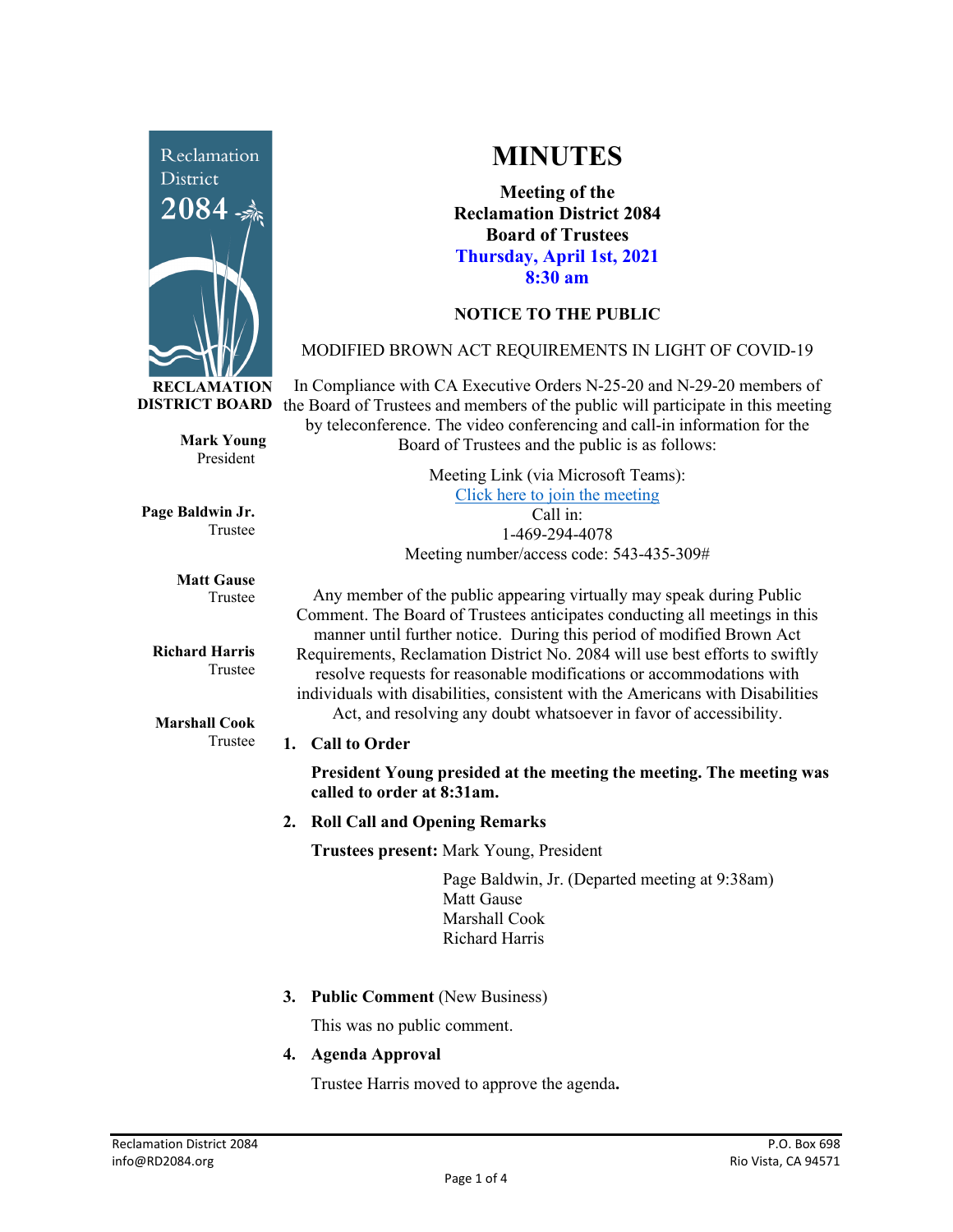

**MINUTES**

**Meeting of the Reclamation District 2084 Board of Trustees Thursday, April 1st, 2021 8:30 am**

# **NOTICE TO THE PUBLIC**

### MODIFIED BROWN ACT REQUIREMENTS IN LIGHT OF COVID-19

**DISTRICT BOARD** the Board of Trustees and members of the public will participate in this meeting In Compliance with CA Executive Orders N-25-20 and N-29-20 members of by teleconference. The video conferencing and call-in information for the Board of Trustees and the public is as follows:

> Meeting Link (via Microsoft Teams): [Click here to join the meeting](https://teams.microsoft.com/l/meetup-join/19%3ameeting_Y2UyNWRiYzQtYWY2Mi00MTlhLWI0NDQtMjUzYzk0OWU0NGFi%40thread.v2/0?context=%7b%22Tid%22%3a%22f9038203-c87c-4f0e-b326-970a381acd40%22%2c%22Oid%22%3a%22b6a515a8-4d0a-410e-b81a-1dc60ae8c01d%22%7d) Call in: 1-469-294-4078 Meeting number/access code: 543-435-309#

**Matt Gause** Trustee

**Page Baldwin Jr.**

**Mark Young** President

Trustee

**Richard Harris** Trustee

**Marshall Cook** Trustee

Any member of the public appearing virtually may speak during Public Comment. The Board of Trustees anticipates conducting all meetings in this manner until further notice. During this period of modified Brown Act Requirements, Reclamation District No. 2084 will use best efforts to swiftly resolve requests for reasonable modifications or accommodations with individuals with disabilities, consistent with the Americans with Disabilities Act, and resolving any doubt whatsoever in favor of accessibility.

### **1. Call to Order**

**President Young presided at the meeting the meeting. The meeting was called to order at 8:31am.** 

**2. Roll Call and Opening Remarks**

**Trustees present:** Mark Young, President

Page Baldwin, Jr. (Departed meeting at 9:38am) Matt Gause Marshall Cook Richard Harris

**3. Public Comment** (New Business)

This was no public comment.

**4. Agenda Approval**

Trustee Harris moved to approve the agenda**.**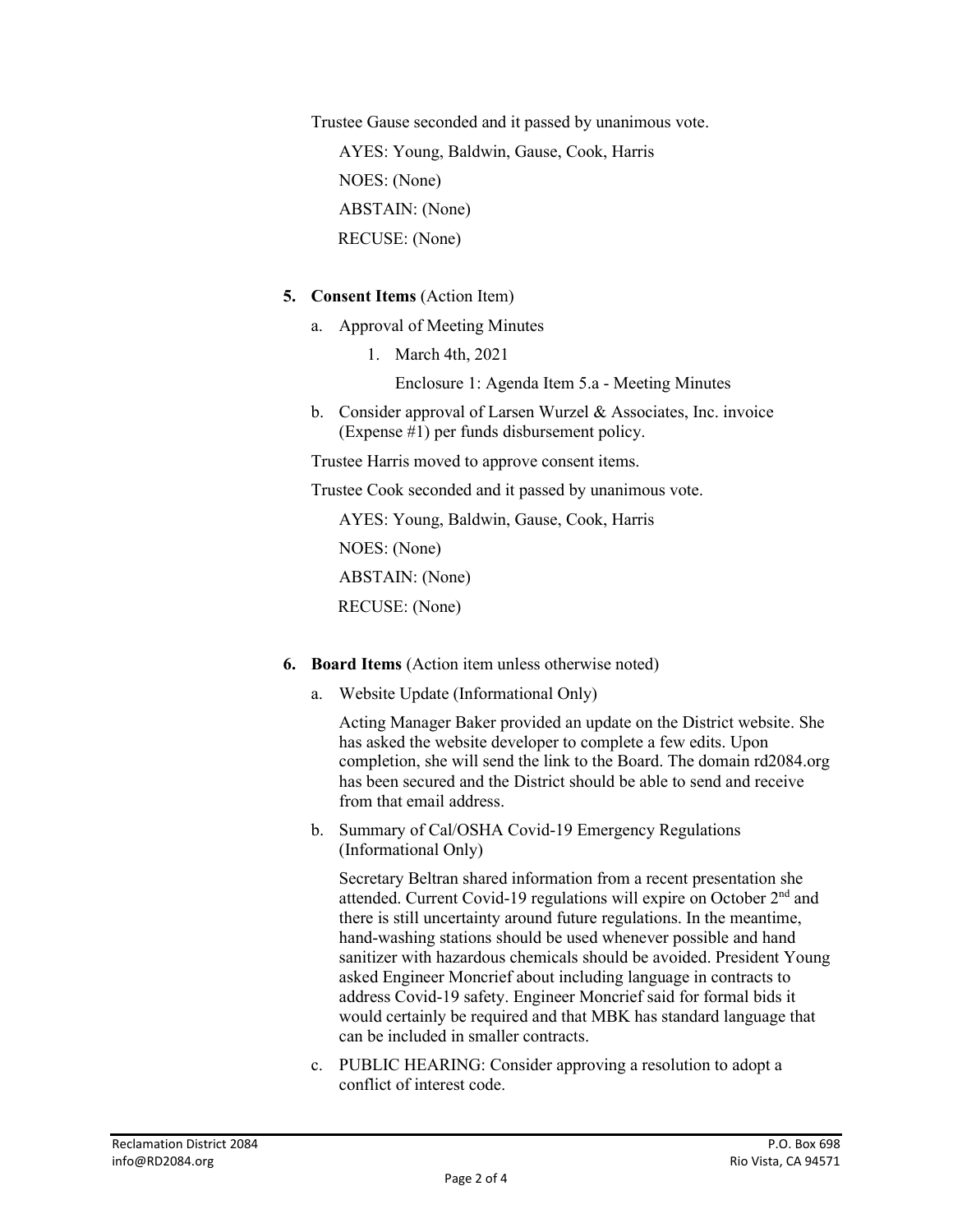Trustee Gause seconded and it passed by unanimous vote.

AYES: Young, Baldwin, Gause, Cook, Harris NOES: (None) ABSTAIN: (None) RECUSE: (None)

# **5. Consent Items** (Action Item)

- a. Approval of Meeting Minutes
	- 1. March 4th, 2021

Enclosure 1: Agenda Item 5.a - Meeting Minutes

b. Consider approval of Larsen Wurzel & Associates, Inc. invoice (Expense #1) per funds disbursement policy.

Trustee Harris moved to approve consent items.

Trustee Cook seconded and it passed by unanimous vote.

AYES: Young, Baldwin, Gause, Cook, Harris NOES: (None) ABSTAIN: (None) RECUSE: (None)

- **6. Board Items** (Action item unless otherwise noted)
	- a. Website Update (Informational Only)

Acting Manager Baker provided an update on the District website. She has asked the website developer to complete a few edits. Upon completion, she will send the link to the Board. The domain rd2084.org has been secured and the District should be able to send and receive from that email address.

b. Summary of Cal/OSHA Covid-19 Emergency Regulations (Informational Only)

Secretary Beltran shared information from a recent presentation she attended. Current Covid-19 regulations will expire on October 2nd and there is still uncertainty around future regulations. In the meantime, hand-washing stations should be used whenever possible and hand sanitizer with hazardous chemicals should be avoided. President Young asked Engineer Moncrief about including language in contracts to address Covid-19 safety. Engineer Moncrief said for formal bids it would certainly be required and that MBK has standard language that can be included in smaller contracts.

c. PUBLIC HEARING: Consider approving a resolution to adopt a conflict of interest code.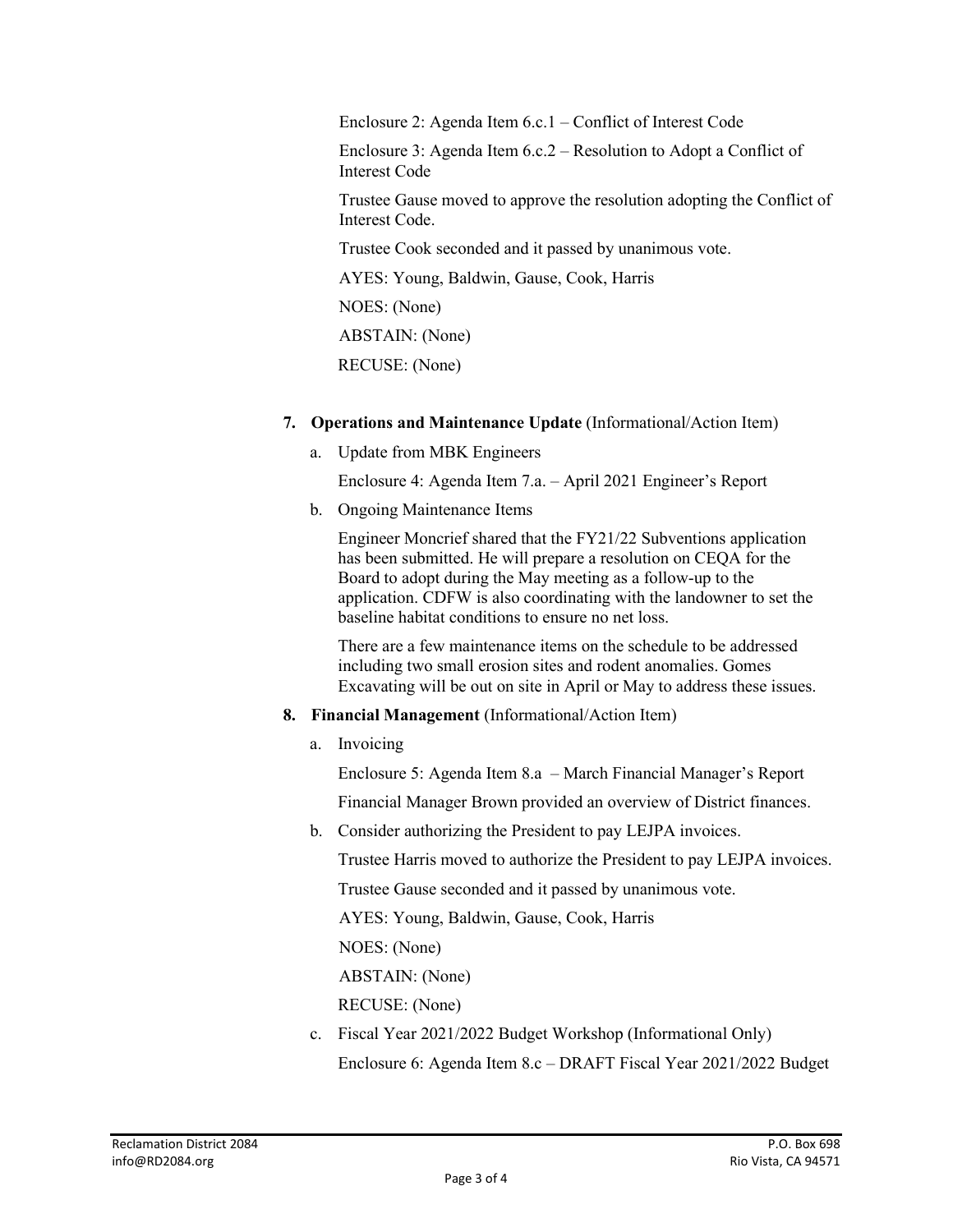Enclosure 2: Agenda Item 6.c.1 – Conflict of Interest Code

Enclosure 3: Agenda Item 6.c.2 – Resolution to Adopt a Conflict of Interest Code

Trustee Gause moved to approve the resolution adopting the Conflict of Interest Code.

Trustee Cook seconded and it passed by unanimous vote.

AYES: Young, Baldwin, Gause, Cook, Harris

NOES: (None)

ABSTAIN: (None)

RECUSE: (None)

- **7. Operations and Maintenance Update** (Informational/Action Item)
	- a. Update from MBK Engineers

Enclosure 4: Agenda Item 7.a. – April 2021 Engineer's Report

b. Ongoing Maintenance Items

Engineer Moncrief shared that the FY21/22 Subventions application has been submitted. He will prepare a resolution on CEQA for the Board to adopt during the May meeting as a follow-up to the application. CDFW is also coordinating with the landowner to set the baseline habitat conditions to ensure no net loss.

There are a few maintenance items on the schedule to be addressed including two small erosion sites and rodent anomalies. Gomes Excavating will be out on site in April or May to address these issues.

- **8. Financial Management** (Informational/Action Item)
	- a. Invoicing

Enclosure 5: Agenda Item 8.a – March Financial Manager's Report

Financial Manager Brown provided an overview of District finances.

b. Consider authorizing the President to pay LEJPA invoices.

Trustee Harris moved to authorize the President to pay LEJPA invoices.

Trustee Gause seconded and it passed by unanimous vote.

AYES: Young, Baldwin, Gause, Cook, Harris

NOES: (None)

ABSTAIN: (None)

RECUSE: (None)

c. Fiscal Year 2021/2022 Budget Workshop (Informational Only) Enclosure 6: Agenda Item 8.c – DRAFT Fiscal Year 2021/2022 Budget